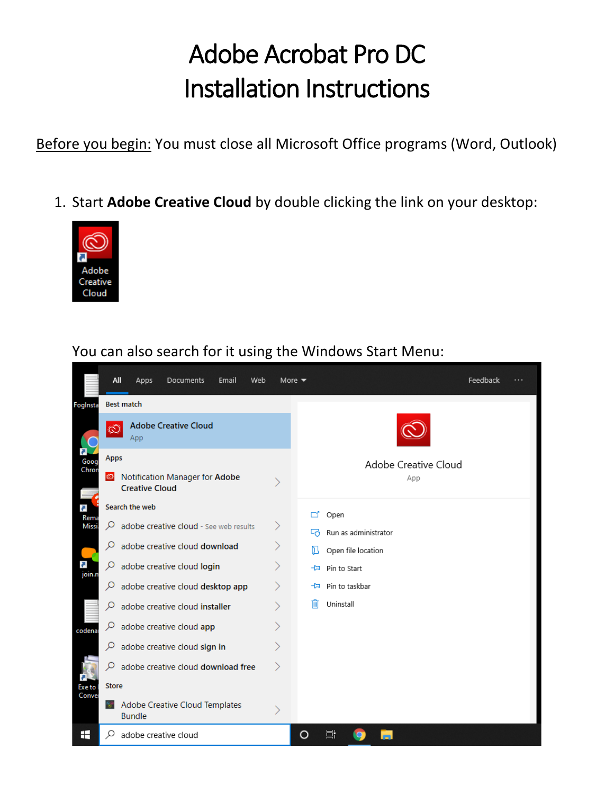## Adobe Acrobat Pro DC Installation Instructions

Before you begin: You must close all Microsoft Office programs (Word, Outlook)

1. Start **Adobe Creative Cloud** by double clicking the link on your desktop:



## You can also search for it using the Windows Start Menu:

|                         | All            | <b>Apps</b><br>Email<br>Web<br><b>Documents</b>         |   | Feedback<br>More $\blacktriangledown$<br>. |
|-------------------------|----------------|---------------------------------------------------------|---|--------------------------------------------|
| FogInsta                |                | <b>Best match</b>                                       |   |                                            |
|                         | Õ              | <b>Adobe Creative Cloud</b><br>App                      |   |                                            |
| Goog<br>Chror           | <b>Apps</b>    |                                                         |   | Adobe Creative Cloud                       |
|                         | $\circledcirc$ | Notification Manager for Adobe<br><b>Creative Cloud</b> |   | App                                        |
| $\overline{\mathbf{a}}$ |                | Search the web                                          |   | Open<br>◘                                  |
| Rema<br>Missi           | Q              | adobe creative cloud - See web results                  |   | Run as administrator<br>더                  |
|                         | Q              | adobe creative cloud download                           |   | Open file location<br>D                    |
| Ł                       | Q              | adobe creative cloud login                              |   | Pin to Start<br>⊣≒                         |
| join.n                  | Q              | adobe creative cloud desktop app                        |   | Pin to taskbar<br>⊣≍                       |
|                         | ρ              | adobe creative cloud installer                          |   | Uninstall<br>而                             |
| codena                  | ₽              | adobe creative cloud app                                |   |                                            |
|                         | ₽              | adobe creative cloud sign in                            |   |                                            |
|                         | Q              | adobe creative cloud download free                      | ⋗ |                                            |
| Exe to                  | <b>Store</b>   |                                                         |   |                                            |
| Conve                   |                | Adobe Creative Cloud Templates<br><b>Bundle</b>         | ⋋ |                                            |
| Ŧ                       | Ω              | adobe creative cloud                                    |   | 耳<br>O                                     |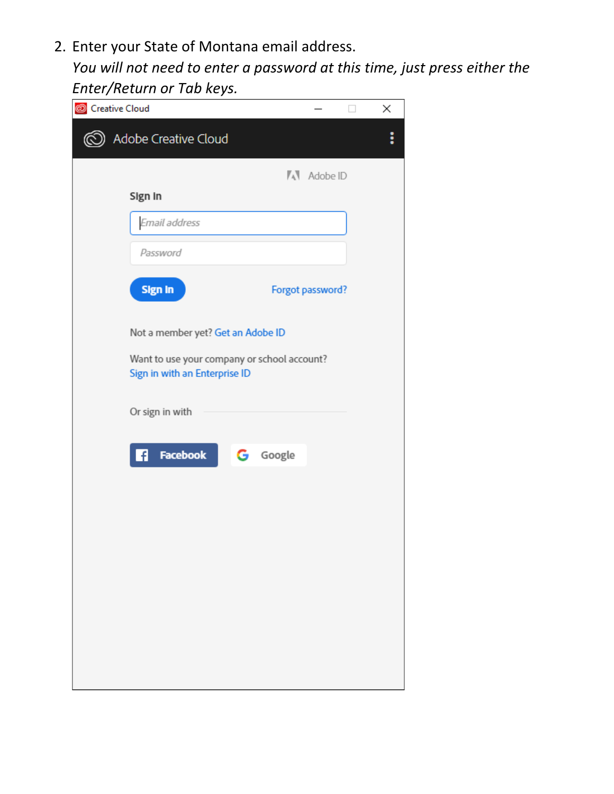2. Enter your State of Montana email address.

*You will not need to enter a password at this time, just press either the Enter/Return or Tab keys.*

| Creative Cloud                                                               |                   | × |
|------------------------------------------------------------------------------|-------------------|---|
| Adobe Creative Cloud                                                         |                   | ፧ |
|                                                                              | <b>A</b> Adobe ID |   |
| Sign in                                                                      |                   |   |
| Email address                                                                |                   |   |
| Password                                                                     |                   |   |
| <b>Sign in</b>                                                               | Forgot password?  |   |
| Not a member yet? Get an Adobe ID                                            |                   |   |
| Want to use your company or school account?<br>Sign in with an Enterprise ID |                   |   |
| Or sign in with                                                              |                   |   |
| Facebook<br>G Google<br>£                                                    |                   |   |
|                                                                              |                   |   |
|                                                                              |                   |   |
|                                                                              |                   |   |
|                                                                              |                   |   |
|                                                                              |                   |   |
|                                                                              |                   |   |
|                                                                              |                   |   |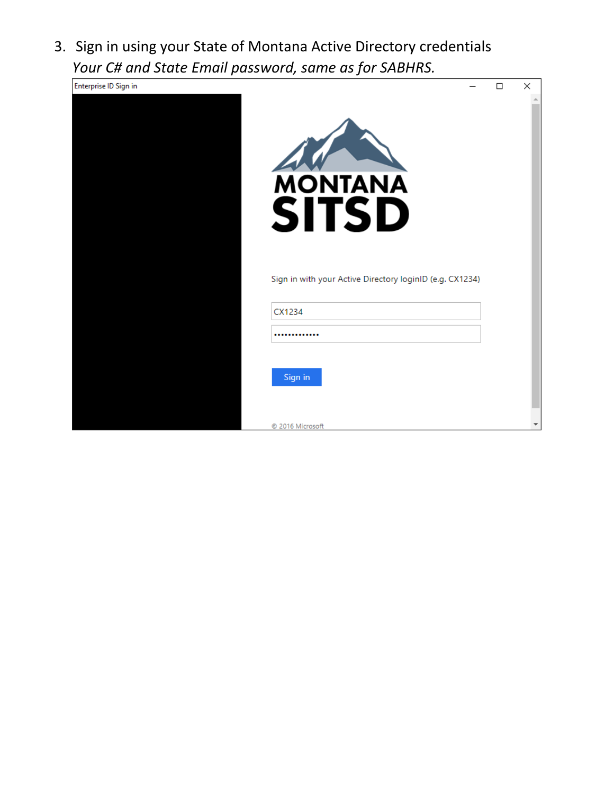3. Sign in using your State of Montana Active Directory credentials *Your C# and State Email password, same as for SABHRS.*

| Enterprise ID Sign in |                                                                                            | $\Box$ | $\times$ |
|-----------------------|--------------------------------------------------------------------------------------------|--------|----------|
|                       | <b>MONTANA</b><br><b>SITSD</b><br>Sign in with your Active Directory loginID (e.g. CX1234) |        |          |
|                       | CX1234                                                                                     |        |          |
|                       |                                                                                            |        |          |
|                       | Sign in                                                                                    |        |          |
|                       | © 2016 Microsoft                                                                           |        | ▼        |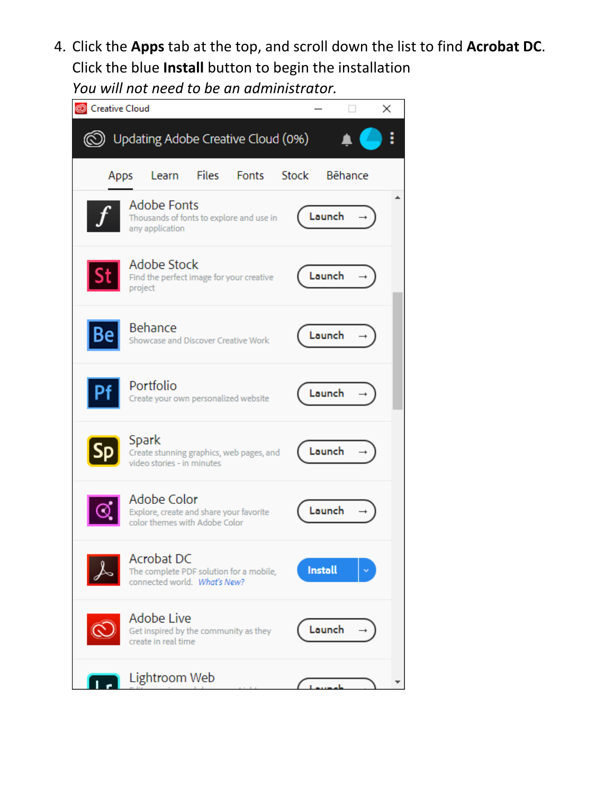4. Click the **Apps** tab at the top, and scroll down the list to find **Acrobat DC**. Click the blue **Install** button to begin the installation *You will not need to be an administrator.*

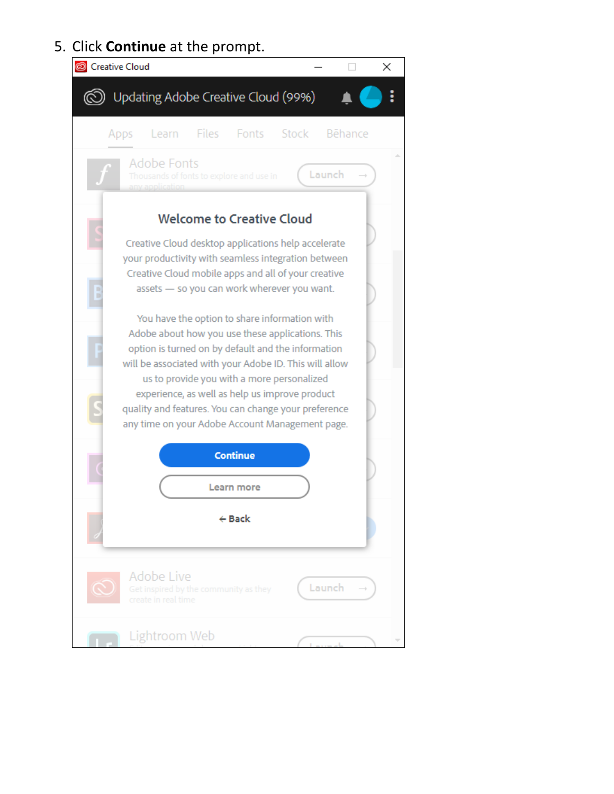## 5. Click **Continue** at the prompt.

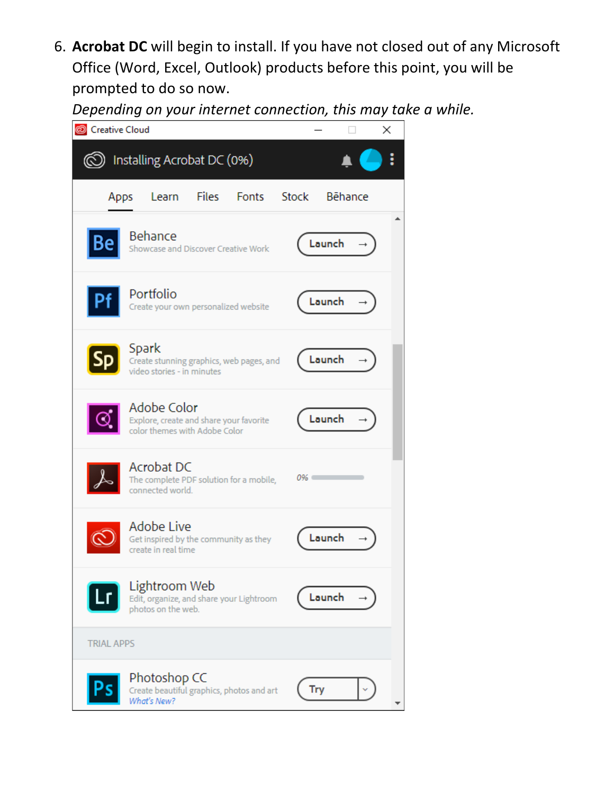6. **Acrobat DC** will begin to install. If you have not closed out of any Microsoft Office (Word, Excel, Outlook) products before this point, you will be prompted to do so now.

*Depending on your internet connection, this may take a while.*

| Creative Cloud    |                                                                                         |              |       |       |         | × |
|-------------------|-----------------------------------------------------------------------------------------|--------------|-------|-------|---------|---|
|                   | ) Installing Acrobat DC (0%)                                                            |              |       |       |         |   |
| Apps              | Learn                                                                                   | <b>Files</b> | Fonts | Stock | Bēhance |   |
|                   | Behance<br>Showcase and Discover Creative Work                                          |              |       |       | Launch  |   |
|                   | Portfolio<br>Create your own personalized website                                       |              |       |       | Launch  |   |
|                   | Spark<br>Create stunning graphics, web pages, and<br>video stories - in minutes         |              |       |       | Launch  |   |
|                   | Adobe Color<br>Explore, create and share your favorite<br>color themes with Adobe Color |              |       |       | Launch  |   |
|                   | Acrobat DC<br>The complete PDF solution for a mobile,<br>connected world.               |              |       | 0% =  |         |   |
|                   | <b>Adobe Live</b><br>Get inspired by the community as they<br>create in real time       |              |       |       | Launch  |   |
|                   | Lightroom Web<br>Edit, organize, and share your Lightroom<br>photos on the web.         |              |       |       | Launch  |   |
| <b>TRIAL APPS</b> |                                                                                         |              |       |       |         |   |
|                   | Photoshop CC<br>Create beautiful graphics, photos and art<br>What's New?                |              |       | Trv   |         |   |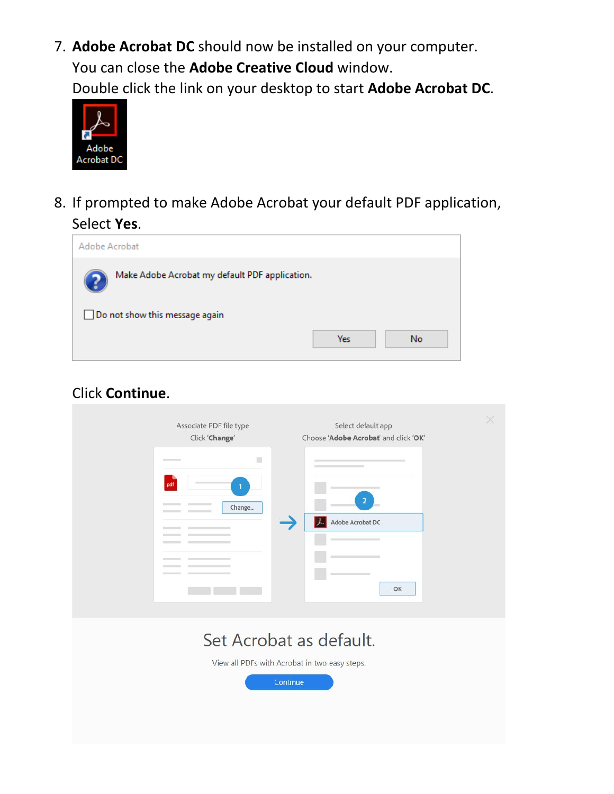7. **Adobe Acrobat DC** should now be installed on your computer. You can close the **Adobe Creative Cloud** window. Double click the link on your desktop to start **Adobe Acrobat DC**.

![](_page_6_Picture_1.jpeg)

8. If prompted to make Adobe Acrobat your default PDF application, Select **Yes**.

![](_page_6_Picture_3.jpeg)

## Click **Continue**.

| Associate PDF file type<br>Click 'Change'                                                                                                                                                                                                                                                                                                                                                                                                                                                    | Select default app<br>Choose 'Adobe Acrobat' and click 'OK' | $\times$ |
|----------------------------------------------------------------------------------------------------------------------------------------------------------------------------------------------------------------------------------------------------------------------------------------------------------------------------------------------------------------------------------------------------------------------------------------------------------------------------------------------|-------------------------------------------------------------|----------|
| ■<br>$\label{eq:1} \begin{array}{lll} \displaystyle \frac{1}{2} \left( \frac{1}{2} \right) \left( \frac{1}{2} \right) \left( \frac{1}{2} \right) \left( \frac{1}{2} \right) \left( \frac{1}{2} \right) \left( \frac{1}{2} \right) \left( \frac{1}{2} \right) \left( \frac{1}{2} \right) \left( \frac{1}{2} \right) \left( \frac{1}{2} \right) \left( \frac{1}{2} \right) \left( \frac{1}{2} \right) \left( \frac{1}{2} \right) \left( \frac{1}{2} \right) \left( \frac{1}{2} \right)$<br>pdf |                                                             |          |
| Change<br>$\sim$                                                                                                                                                                                                                                                                                                                                                                                                                                                                             | 2<br>Adobe Acrobat DC<br>$\lambda$<br>۰                     |          |
| <b>STATE</b>                                                                                                                                                                                                                                                                                                                                                                                                                                                                                 | OK                                                          |          |
|                                                                                                                                                                                                                                                                                                                                                                                                                                                                                              |                                                             |          |
|                                                                                                                                                                                                                                                                                                                                                                                                                                                                                              | Set Acrobat as default.                                     |          |
|                                                                                                                                                                                                                                                                                                                                                                                                                                                                                              | View all PDFs with Acrobat in two easy steps.<br>Continue   |          |
|                                                                                                                                                                                                                                                                                                                                                                                                                                                                                              |                                                             |          |
|                                                                                                                                                                                                                                                                                                                                                                                                                                                                                              |                                                             |          |